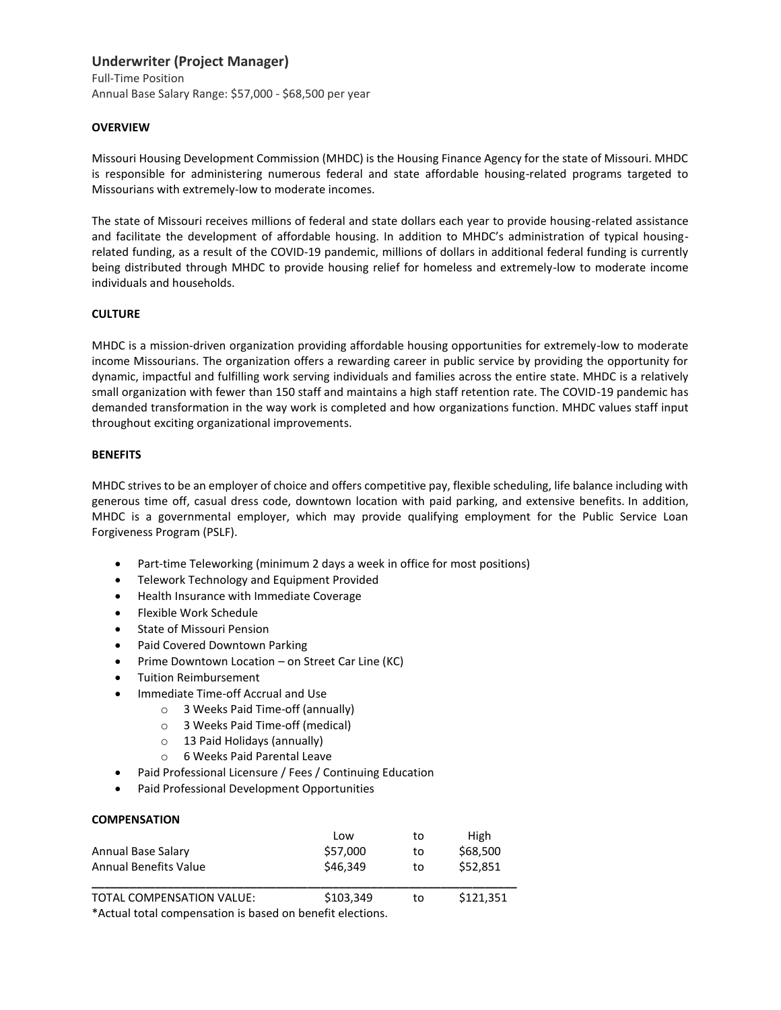# **Underwriter (Project Manager)**

Full-Time Position Annual Base Salary Range: \$57,000 - \$68,500 per year

## **OVERVIEW**

Missouri Housing Development Commission (MHDC) is the Housing Finance Agency for the state of Missouri. MHDC is responsible for administering numerous federal and state affordable housing-related programs targeted to Missourians with extremely-low to moderate incomes.

The state of Missouri receives millions of federal and state dollars each year to provide housing-related assistance and facilitate the development of affordable housing. In addition to MHDC's administration of typical housingrelated funding, as a result of the COVID-19 pandemic, millions of dollars in additional federal funding is currently being distributed through MHDC to provide housing relief for homeless and extremely-low to moderate income individuals and households.

## **CULTURE**

MHDC is a mission-driven organization providing affordable housing opportunities for extremely-low to moderate income Missourians. The organization offers a rewarding career in public service by providing the opportunity for dynamic, impactful and fulfilling work serving individuals and families across the entire state. MHDC is a relatively small organization with fewer than 150 staff and maintains a high staff retention rate. The COVID-19 pandemic has demanded transformation in the way work is completed and how organizations function. MHDC values staff input throughout exciting organizational improvements.

## **BENEFITS**

MHDC strives to be an employer of choice and offers competitive pay, flexible scheduling, life balance including with generous time off, casual dress code, downtown location with paid parking, and extensive benefits. In addition, MHDC is a governmental employer, which may provide qualifying employment for the Public Service Loan Forgiveness Program (PSLF).

- Part-time Teleworking (minimum 2 days a week in office for most positions)
- **•** Telework Technology and Equipment Provided
- Health Insurance with Immediate Coverage
- Flexible Work Schedule
- State of Missouri Pension
- Paid Covered Downtown Parking
- Prime Downtown Location on Street Car Line (KC)
- Tuition Reimbursement
- Immediate Time-off Accrual and Use
	- o 3 Weeks Paid Time-off (annually)
	- o 3 Weeks Paid Time-off (medical)
	- o 13 Paid Holidays (annually)
	- o 6 Weeks Paid Parental Leave
- Paid Professional Licensure / Fees / Continuing Education
- Paid Professional Development Opportunities

## **COMPENSATION**

|                              | Low      | to | High     |
|------------------------------|----------|----|----------|
| Annual Base Salary           | \$57,000 | to | \$68,500 |
| <b>Annual Benefits Value</b> | \$46.349 | to | \$52.851 |

TOTAL COMPENSATION VALUE:  $$103,349$  to \$121,351

\*Actual total compensation is based on benefit elections.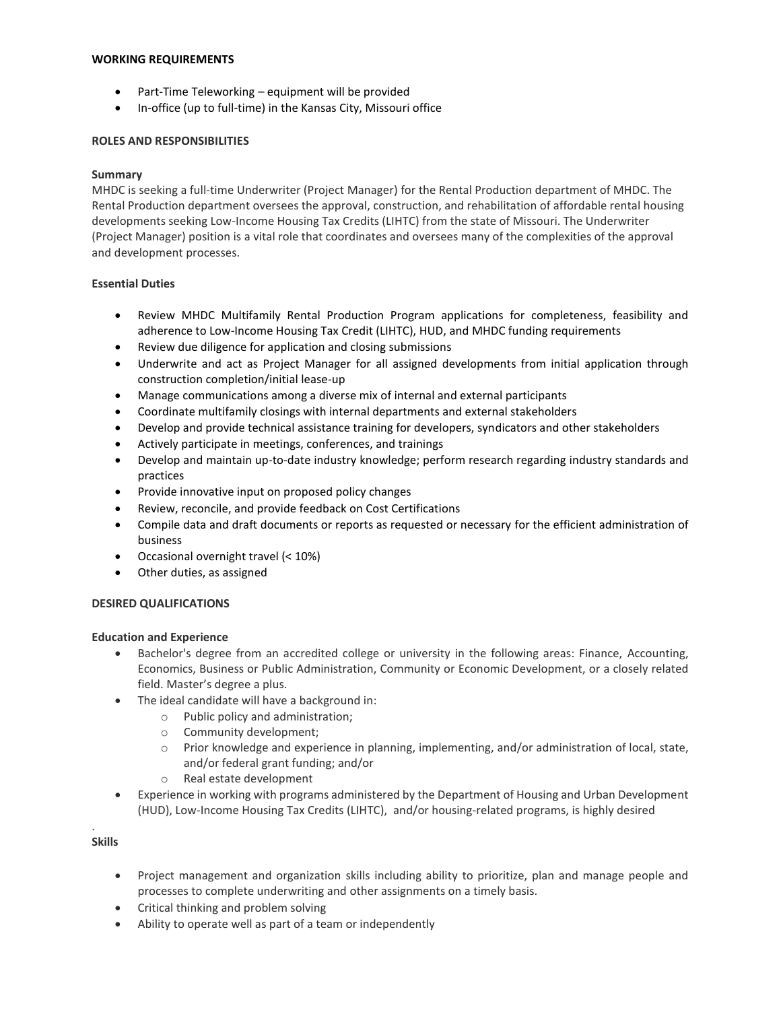#### **WORKING REQUIREMENTS**

- Part-Time Teleworking equipment will be provided
- In-office (up to full-time) in the Kansas City, Missouri office

### **ROLES AND RESPONSIBILITIES**

### **Summary**

MHDC is seeking a full-time Underwriter (Project Manager) for the Rental Production department of MHDC. The Rental Production department oversees the approval, construction, and rehabilitation of affordable rental housing developments seeking Low-Income Housing Tax Credits (LIHTC) from the state of Missouri. The Underwriter (Project Manager) position is a vital role that coordinates and oversees many of the complexities of the approval and development processes.

## **Essential Duties**

- Review MHDC Multifamily Rental Production Program applications for completeness, feasibility and adherence to Low-Income Housing Tax Credit (LIHTC), HUD, and MHDC funding requirements
- Review due diligence for application and closing submissions
- Underwrite and act as Project Manager for all assigned developments from initial application through construction completion/initial lease-up
- Manage communications among a diverse mix of internal and external participants
- Coordinate multifamily closings with internal departments and external stakeholders
- Develop and provide technical assistance training for developers, syndicators and other stakeholders
- Actively participate in meetings, conferences, and trainings
- Develop and maintain up-to-date industry knowledge; perform research regarding industry standards and practices
- Provide innovative input on proposed policy changes
- Review, reconcile, and provide feedback on Cost Certifications
- Compile data and draft documents or reports as requested or necessary for the efficient administration of business
- Occasional overnight travel (< 10%)
- Other duties, as assigned

## **DESIRED QUALIFICATIONS**

## **Education and Experience**

- Bachelor's degree from an accredited college or university in the following areas: Finance, Accounting, Economics, Business or Public Administration, Community or Economic Development, or a closely related field. Master's degree a plus.
- The ideal candidate will have a background in:
	- o Public policy and administration;
	- o Community development;
	- o Prior knowledge and experience in planning, implementing, and/or administration of local, state, and/or federal grant funding; and/or
	- o Real estate development
- Experience in working with programs administered by the Department of Housing and Urban Development (HUD), Low-Income Housing Tax Credits (LIHTC), and/or housing-related programs, is highly desired

#### . **Skills**

- Project management and organization skills including ability to prioritize, plan and manage people and processes to complete underwriting and other assignments on a timely basis.
- Critical thinking and problem solving
- Ability to operate well as part of a team or independently